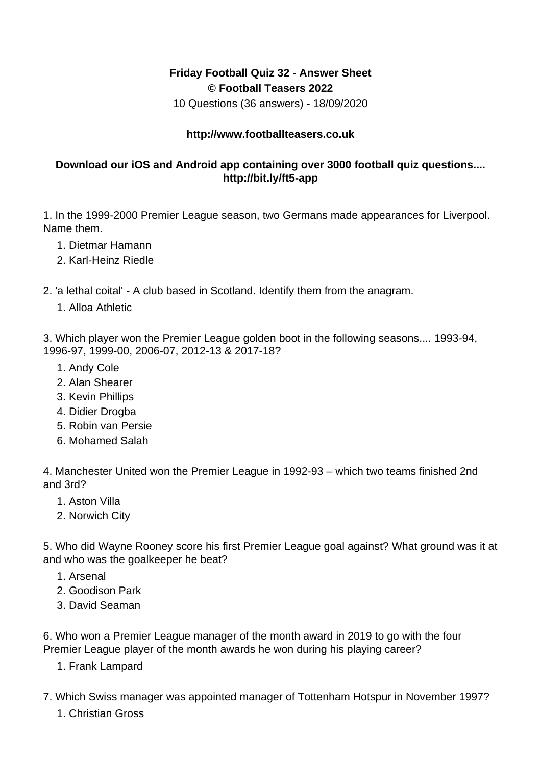## **Friday Football Quiz 32 - Answer Sheet © Football Teasers 2022**

10 Questions (36 answers) - 18/09/2020

## **http://www.footballteasers.co.uk**

## **Download our iOS and Android app containing over 3000 football quiz questions.... http://bit.ly/ft5-app**

1. In the 1999-2000 Premier League season, two Germans made appearances for Liverpool. Name them.

- 1. Dietmar Hamann
- 2. Karl-Heinz Riedle

2. 'a lethal coital' - A club based in Scotland. Identify them from the anagram.

1. Alloa Athletic

3. Which player won the Premier League golden boot in the following seasons.... 1993-94, 1996-97, 1999-00, 2006-07, 2012-13 & 2017-18?

- 1. Andy Cole
- 2. Alan Shearer
- 3. Kevin Phillips
- 4. Didier Drogba
- 5. Robin van Persie
- 6. Mohamed Salah

4. Manchester United won the Premier League in 1992-93 – which two teams finished 2nd and 3rd?

- 1. Aston Villa
- 2. Norwich City

5. Who did Wayne Rooney score his first Premier League goal against? What ground was it at and who was the goalkeeper he beat?

- 1. Arsenal
- 2. Goodison Park
- 3. David Seaman

6. Who won a Premier League manager of the month award in 2019 to go with the four Premier League player of the month awards he won during his playing career?

- 1. Frank Lampard
- 7. Which Swiss manager was appointed manager of Tottenham Hotspur in November 1997?
	- 1. Christian Gross